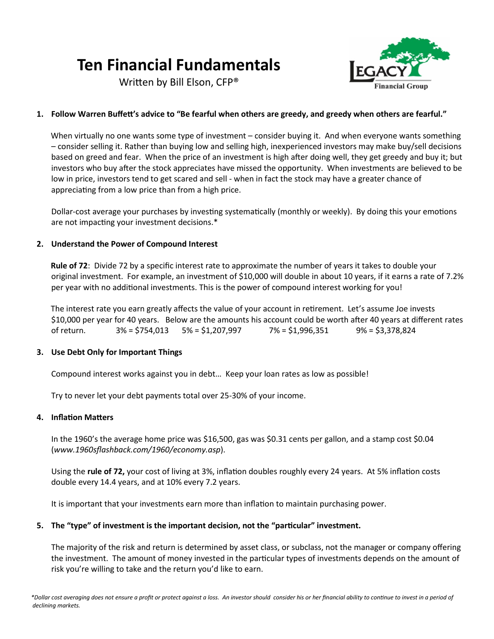# **Ten Financial Fundamentals**

Written by Bill Elson, CFP®



# **1. Follow Warren Buffett's advice to "Be fearful when others are greedy, and greedy when others are fearful."**

 When virtually no one wants some type of investment – consider buying it. And when everyone wants something – consider selling it. Rather than buying low and selling high, inexperienced investors may make buy/sell decisions based on greed and fear. When the price of an investment is high after doing well, they get greedy and buy it; but investors who buy after the stock appreciates have missed the opportunity. When investments are believed to be low in price, investors tend to get scared and sell - when in fact the stock may have a greater chance of appreciating from a low price than from a high price.

Dollar-cost average your purchases by investing systematically (monthly or weekly). By doing this your emotions are not impacting your investment decisions.\*

# **2. Understand the Power of Compound Interest**

 **Rule of 72**: Divide 72 by a specific interest rate to approximate the number of years it takes to double your original investment. For example, an investment of \$10,000 will double in about 10 years, if it earns a rate of 7.2% per year with no additional investments. This is the power of compound interest working for you!

 The interest rate you earn greatly affects the value of your account in retirement. Let's assume Joe invests \$10,000 per year for 40 years. Below are the amounts his account could be worth after 40 years at different rates of return. 3% = \$754,013 5% = \$1,207,997 7% = \$1,996,351 9% = \$3,378,824

# **3. Use Debt Only for Important Things**

Compound interest works against you in debt… Keep your loan rates as low as possible!

Try to never let your debt payments total over 25-30% of your income.

## **4. Inflation Matters**

In the 1960's the average home price was \$16,500, gas was \$0.31 cents per gallon, and a stamp cost \$0.04 (*www.1960sflashback.com/1960/economy.asp*).

Using the **rule of 72,** your cost of living at 3%, inflation doubles roughly every 24 years. At 5% inflation costs double every 14.4 years, and at 10% every 7.2 years.

It is important that your investments earn more than inflation to maintain purchasing power.

# **5. The "type" of investment is the important decision, not the "particular" investment.**

The majority of the risk and return is determined by asset class, or subclass, not the manager or company offering the investment. The amount of money invested in the particular types of investments depends on the amount of risk you're willing to take and the return you'd like to earn.